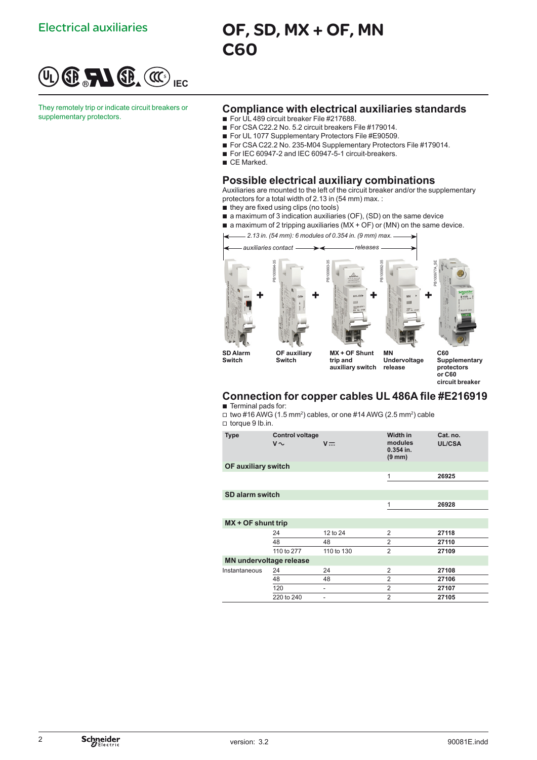

They remotely trip or indicate circuit breakers or<br>supplementary protectors.

# Electrical auxiliaries **OF, SD, MX + OF, MN** C60

## **Compliance with electrical auxiliaries standards**

- For UL 489 circuit breaker File #217688.
- For CSA C22.2 No. 5.2 circuit breakers File #179014.
- For UL 1077 Supplementary Protectors File #E90509.
- For CSA C22.2 No. 235-M04 Supplementary Protectors File #179014.
- For IEC 60947-2 and IEC 60947-5-1 circuit-breakers.
- CE Marked.

## **Possible electrical auxiliary combinations**

Auxiliaries are mounted to the left of the circuit breaker and/or the supplementary protectors for a total width of 2.13 in (54 mm) max. :

- they are fixed using clips (no tools)
- a maximum of 3 indication auxiliaries (OF), (SD) on the same device
- $\blacksquare$  a maximum of 2 tripping auxiliaries (MX + OF) or (MN) on the same device.



# **Connection for copper cables UL 486A file #E216919**

- **Terminal pads for:**  $\Box$  two #16 AWG (1.5 mm<sup>2</sup>) cables, or one #14 AWG (2.5 mm<sup>2</sup>) cable
- □ torque 9 lb.in.

| <b>Type</b>                    | <b>Control voltage</b><br>$V \sim$ | $V =$      | Width in<br>modules<br>$0.354$ in.<br>$(9 \text{ mm})$ | Cat. no.<br><b>UL/CSA</b> |
|--------------------------------|------------------------------------|------------|--------------------------------------------------------|---------------------------|
| OF auxiliary switch            |                                    |            |                                                        |                           |
|                                |                                    |            | 1                                                      | 26925                     |
|                                |                                    |            |                                                        |                           |
| SD alarm switch                |                                    |            |                                                        |                           |
|                                |                                    |            | $\mathbf{1}$                                           | 26928                     |
|                                |                                    |            |                                                        |                           |
| $MX + OF$ shunt trip           |                                    |            |                                                        |                           |
|                                | 24                                 | 12 to 24   | 2                                                      | 27118                     |
|                                | 48                                 | 48         | $\overline{2}$                                         | 27110                     |
|                                | 110 to 277                         | 110 to 130 | $\overline{2}$                                         | 27109                     |
| <b>MN undervoltage release</b> |                                    |            |                                                        |                           |
| Instantaneous                  | 24                                 | 24         | $\overline{2}$                                         | 27108                     |
|                                | 48                                 | 48         | $\overline{2}$                                         | 27106                     |
|                                | 120                                | -          | $\overline{2}$                                         | 27107                     |
|                                | 220 to 240                         |            | $\overline{2}$                                         | 27105                     |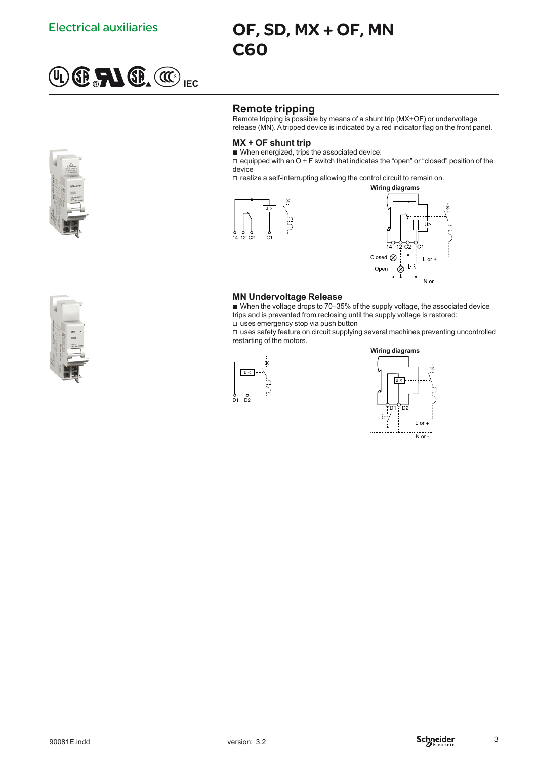

# Electrical auxiliaries **OF, SD, MX + OF, MN** C60

# **Remote tripping**

Remote tripping is possible by means of a shunt trip (MX+OF) or undervoltage release (MN). A tripped device is indicated by a red indicator flag on the front panel.

#### **MX + OF shunt trip**

■ When energized, trips the associated device:

 $\Box$  equipped with an  $O + F$  switch that indicates the "open" or "closed" position of the device

□ realize a self-interrupting allowing the control circuit to remain on.





# **MN Undervoltage Release**

■ When the voltage drops to 70-35% of the supply voltage, the associated device trips and is prevented from reclosing until the supply voltage is restored: □ uses emergency stop via push button

□ uses safety feature on circuit supplying several machines preventing uncontrolled restarting of the motors.





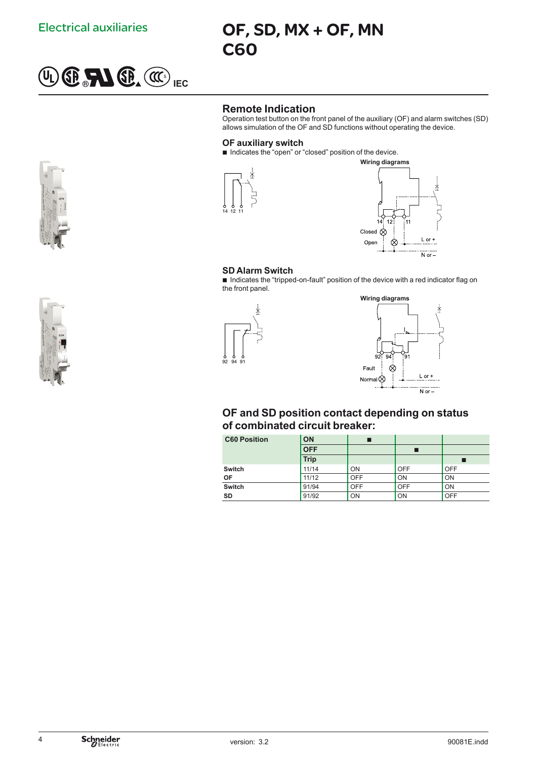

# Electrical auxiliaries **OF, SD, MX + OF, MN** C60

# **Remote Indication**

Operation test button on the front panel of the auxiliary (OF) and alarm switches (SD) allows simulation of the OF and SD functions without operating the device.

### **OF auxiliary switch**

 $\blacksquare$  Indicates the "open" or "closed" position of the device.





#### **SD Alarm Switch**

Indicates the "tripped-on-fault" position of the device with a red indicator flag on the front panel.



# **OF and SD position contact depending on status of combinated circuit breaker:**

| <b>C60 Position</b> | <b>ON</b>   |            |            |            |
|---------------------|-------------|------------|------------|------------|
|                     | <b>OFF</b>  |            |            |            |
|                     | <b>Trip</b> |            |            |            |
| <b>Switch</b>       | 11/14       | ON         | <b>OFF</b> | <b>OFF</b> |
| <b>OF</b>           | 11/12       | <b>OFF</b> | ON         | ON         |
| <b>Switch</b>       | 91/94       | <b>OFF</b> | OFF        | ON         |
| <b>SD</b>           | 91/92       | ON         | ON         | <b>OFF</b> |